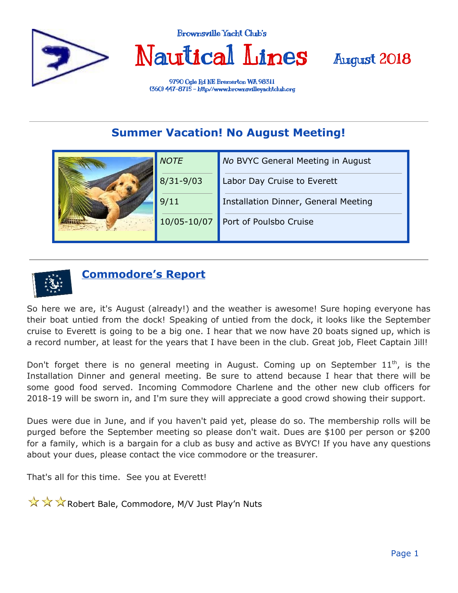

Brownsville Yacht Club's

Nautical Lines



9790 Ogle Rd NE Bremerton WA 98311 (360) 447-8715 - http://www.[brownsvilleyachtclub.](http://www.brownsvilleyachtclub.org/)org

### **Summer Vacation! No August Meeting!**

|  | <b>NOTE</b>   | No BVYC General Meeting in August    |
|--|---------------|--------------------------------------|
|  | $8/31 - 9/03$ | Labor Day Cruise to Everett          |
|  | 9/11          | Installation Dinner, General Meeting |
|  | 10/05-10/07   | Port of Poulsbo Cruise               |
|  |               |                                      |



### **Commodore's Report**

So here we are, it's August (already!) and the weather is awesome! Sure hoping everyone has their boat untied from the dock! Speaking of untied from the dock, it looks like the September cruise to Everett is going to be a big one. I hear that we now have 20 boats signed up, which is a record number, at least for the years that I have been in the club. Great job, Fleet Captain Jill!

Don't forget there is no general meeting in August. Coming up on September  $11<sup>th</sup>$ , is the Installation Dinner and general meeting. Be sure to attend because I hear that there will be some good food served. Incoming Commodore Charlene and the other new club officers for 2018-19 will be sworn in, and I'm sure they will appreciate a good crowd showing their support.

Dues were due in June, and if you haven't paid yet, please do so. The membership rolls will be purged before the September meeting so please don't wait. Dues are \$100 per person or \$200 for a family, which is a bargain for a club as busy and active as BVYC! If you have any questions about your dues, please contact the vice commodore or the treasurer.

That's all for this time. See you at Everett!

 $\sqrt{\sqrt{x}} \times \sqrt{x}$  Robert Bale, Commodore, M/V Just Play'n Nuts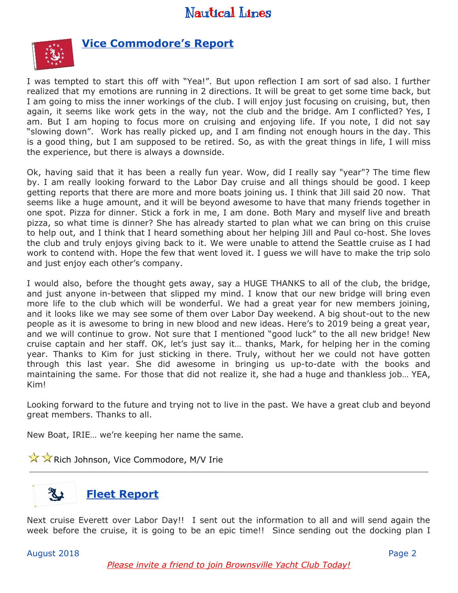

#### **Vice Commodore's Report**

I was tempted to start this off with "Yea!". But upon reflection I am sort of sad also. I further realized that my emotions are running in 2 directions. It will be great to get some time back, but I am going to miss the inner workings of the club. I will enjoy just focusing on cruising, but, then again, it seems like work gets in the way, not the club and the bridge. Am I conflicted? Yes, I am. But I am hoping to focus more on cruising and enjoying life. If you note, I did not say "slowing down". Work has really picked up, and I am finding not enough hours in the day. This is a good thing, but I am supposed to be retired. So, as with the great things in life, I will miss the experience, but there is always a downside.

Ok, having said that it has been a really fun year. Wow, did I really say "year"? The time flew by. I am really looking forward to the Labor Day cruise and all things should be good. I keep getting reports that there are more and more boats joining us. I think that Jill said 20 now. That seems like a huge amount, and it will be beyond awesome to have that many friends together in one spot. Pizza for dinner. Stick a fork in me, I am done. Both Mary and myself live and breath pizza, so what time is dinner? She has already started to plan what we can bring on this cruise to help out, and I think that I heard something about her helping Jill and Paul co-host. She loves the club and truly enjoys giving back to it. We were unable to attend the Seattle cruise as I had work to contend with. Hope the few that went loved it. I guess we will have to make the trip solo and just enjoy each other's company.

I would also, before the thought gets away, say a HUGE THANKS to all of the club, the bridge, and just anyone in-between that slipped my mind. I know that our new bridge will bring even more life to the club which will be wonderful. We had a great year for new members joining, and it looks like we may see some of them over Labor Day weekend. A big shout-out to the new people as it is awesome to bring in new blood and new ideas. Here's to 2019 being a great year, and we will continue to grow. Not sure that I mentioned "good luck" to the all new bridge! New cruise captain and her staff. OK, let's just say it… thanks, Mark, for helping her in the coming year. Thanks to Kim for just sticking in there. Truly, without her we could not have gotten through this last year. She did awesome in bringing us up-to-date with the books and maintaining the same. For those that did not realize it, she had a huge and thankless job… YEA, Kim!

Looking forward to the future and trying not to live in the past. We have a great club and beyond great members. Thanks to all.

New Boat, IRIE… we're keeping her name the same.

 $\sqrt{\sqrt{X}}$  Rich Johnson, Vice Commodore, M/V Irie



Next cruise Everett over Labor Day!! I sent out the information to all and will send again the week before the cruise, it is going to be an epic time!! Since sending out the docking plan I

August 2018 Page 2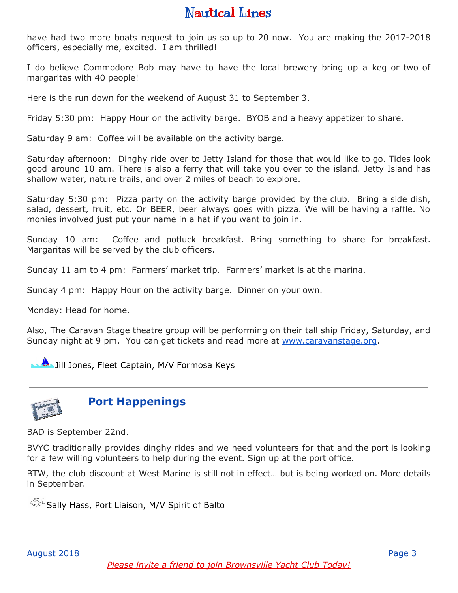have had two more boats request to join us so up to 20 now. You are making the 2017-2018 officers, especially me, excited. I am thrilled!

I do believe Commodore Bob may have to have the local brewery bring up a keg or two of margaritas with 40 people!

Here is the run down for the weekend of August 31 to September 3.

Friday 5:30 pm: Happy Hour on the activity barge. BYOB and a heavy appetizer to share.

Saturday 9 am: Coffee will be available on the activity barge.

Saturday afternoon: Dinghy ride over to Jetty Island for those that would like to go. Tides look good around 10 am. There is also a ferry that will take you over to the island. Jetty Island has shallow water, nature trails, and over 2 miles of beach to explore.

Saturday 5:30 pm: Pizza party on the activity barge provided by the club. Bring a side dish, salad, dessert, fruit, etc. Or BEER, beer always goes with pizza. We will be having a raffle. No monies involved just put your name in a hat if you want to join in.

Sunday 10 am: Coffee and potluck breakfast. Bring something to share for breakfast. Margaritas will be served by the club officers.

Sunday 11 am to 4 pm: Farmers' market trip. Farmers' market is at the marina.

Sunday 4 pm: Happy Hour on the activity barge. Dinner on your own.

Monday: Head for home.

Also, The Caravan Stage theatre group will be performing on their tall ship Friday, Saturday, and Sunday night at 9 pm. You can get tickets and read more at [www.caravanstage.org](http://www.caravanstage.org/).

**U** Jill Jones, Fleet Captain, M/V Formosa Keys



### **Port Happenings**

BAD is September 22nd.

BVYC traditionally provides dinghy rides and we need volunteers for that and the port is looking for a few willing volunteers to help during the event. Sign up at the port office.

BTW, the club discount at West Marine is still not in effect… but is being worked on. More details in September.

Sally Hass, Port Liaison, M/V Spirit of Balto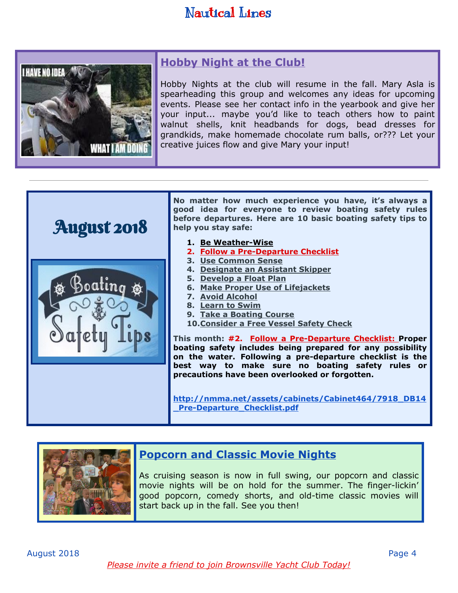

### **Hobby Night at the Club!**

Hobby Nights at the club will resume in the fall. Mary Asla is spearheading this group and welcomes any ideas for upcoming events. Please see her contact info in the yearbook and give her your input... maybe you'd like to teach others how to paint walnut shells, knit headbands for dogs, bead dresses for grandkids, make homemade chocolate rum balls, or??? Let your creative juices flow and give Mary your input!



**No matter how much experience you have, it's always a good idea for everyone to review boating safety rules before departures. Here are 10 basic boating safety tips to help you stay safe:**

- **1. Be Weather-Wise**
- **2. Follow a Pre-Departure Checklist**
- **3. Use Common Sense**
- **4. Designate an Assistant Skipper**
- **5. Develop a Float Plan**
- **6. Make Proper Use of Lifejackets**
- **7. Avoid Alcohol**
- **8. Learn to Swim**
- **9. Take a Boating Course**
- **10.Consider a Free Vessel Safety Check**

**This month: #2. Follow a Pre-Departure Checklist: Proper boating safety includes being prepared for any possibility on the water. Following a [pre-departure](http://www.discoverboating.com/owning/maintenance/departure.aspx) checklist is the best way to make sure no boating safety rules or precautions have been overlooked or forgotten.**

**[http://nmma.net/assets/cabinets/Cabinet464/7918\\_DB14](http://nmma.net/assets/cabinets/Cabinet464/7918_DB14_Pre-Departure_Checklist.pdf) [\\_Pre-Departure\\_Checklist.pdf](http://nmma.net/assets/cabinets/Cabinet464/7918_DB14_Pre-Departure_Checklist.pdf)**



#### **Popcorn and Classic Movie Nights**

As cruising season is now in full swing, our popcorn and classic movie nights will be on hold for the summer. The finger-lickin' good popcorn, comedy shorts, and old-time classic movies will start back up in the fall. See you then!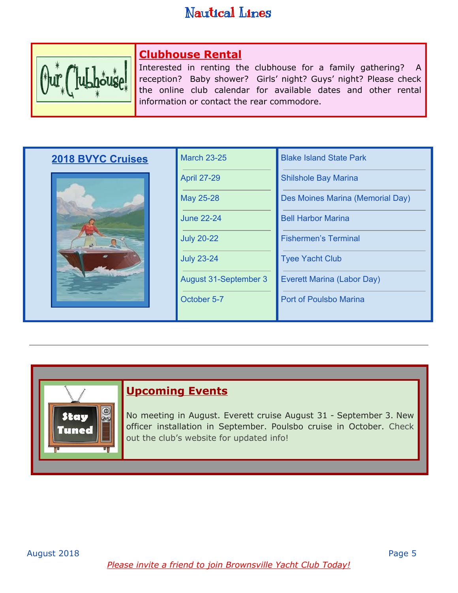

### **Clubhouse Rental**

Interested in renting the clubhouse for a family gathering? A reception? Baby shower? Girls' night? Guys' night? Please check the online club calendar for available dates and other rental information or contact the rear commodore.

| <b>2018 BVYC Cruises</b> | <b>March 23-25</b>    | <b>Blake Island State Park</b>   |
|--------------------------|-----------------------|----------------------------------|
|                          | <b>April 27-29</b>    | <b>Shilshole Bay Marina</b>      |
|                          | May 25-28             | Des Moines Marina (Memorial Day) |
|                          | <b>June 22-24</b>     | <b>Bell Harbor Marina</b>        |
|                          | <b>July 20-22</b>     | <b>Fishermen's Terminal</b>      |
|                          | <b>July 23-24</b>     | <b>Tyee Yacht Club</b>           |
|                          | August 31-September 3 | Everett Marina (Labor Day)       |
|                          | October 5-7           | Port of Poulsbo Marina           |
|                          |                       |                                  |

#### **Upcoming Events**

 $\circledcirc$ 

**uned** 

No meeting in August. Everett cruise August 31 - September 3. New officer installation in September. Poulsbo cruise in October. Check out the club's website for updated info!

*Please invite a friend to join Brownsville Yacht Club Today!*